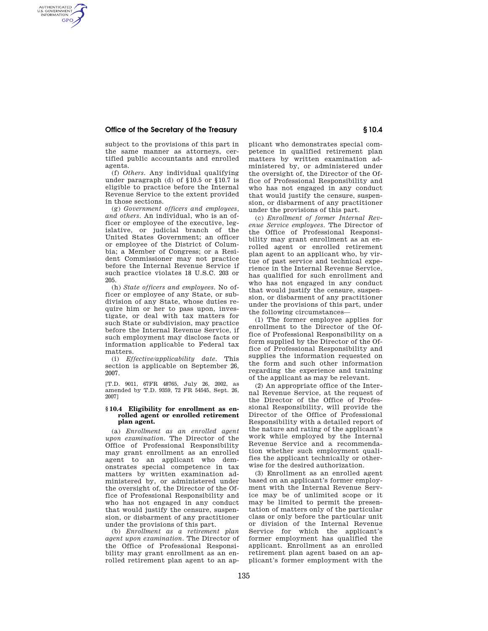## **Office of the Secretary of the Treasury § 10.4**

AUTHENTICATED<br>U.S. GOVERNMENT<br>INFORMATION **GPO** 

subject to the provisions of this part in the same manner as attorneys, certified public accountants and enrolled agents.

(f) *Others.* Any individual qualifying under paragraph (d) of §10.5 or §10.7 is eligible to practice before the Internal Revenue Service to the extent provided in those sections.

(g) *Government officers and employees, and others.* An individual, who is an officer or employee of the executive, legislative, or judicial branch of the United States Government; an officer or employee of the District of Columbia; a Member of Congress; or a Resident Commissioner may not practice before the Internal Revenue Service if such practice violates 18 U.S.C. 203 or 205.

(h) *State officers and employees.* No officer or employee of any State, or subdivision of any State, whose duties require him or her to pass upon, investigate, or deal with tax matters for such State or subdivision, may practice before the Internal Revenue Service, if such employment may disclose facts or information applicable to Federal tax matters.

(i) *Effective/applicability date.* This section is applicable on September 26, 2007.

[T.D. 9011, 67FR 48765, July 26, 2002, as amended by T.D. 9359, 72 FR 54545, Sept. 26, 2007]

## **§ 10.4 Eligibility for enrollment as enrolled agent or enrolled retirement plan agent.**

(a) *Enrollment as an enrolled agent upon examination.* The Director of the Office of Professional Responsibility may grant enrollment as an enrolled agent to an applicant who demonstrates special competence in tax matters by written examination administered by, or administered under the oversight of, the Director of the Office of Professional Responsibility and who has not engaged in any conduct that would justify the censure, suspension, or disbarment of any practitioner under the provisions of this part.

(b) *Enrollment as a retirement plan agent upon examination.* The Director of the Office of Professional Responsibility may grant enrollment as an enrolled retirement plan agent to an applicant who demonstrates special competence in qualified retirement plan matters by written examination administered by, or administered under the oversight of, the Director of the Office of Professional Responsibility and who has not engaged in any conduct that would justify the censure, suspension, or disbarment of any practitioner under the provisions of this part.

(c) *Enrollment of former Internal Revenue Service employees.* The Director of the Office of Professional Responsibility may grant enrollment as an enrolled agent or enrolled retirement plan agent to an applicant who, by virtue of past service and technical experience in the Internal Revenue Service, has qualified for such enrollment and who has not engaged in any conduct that would justify the censure, suspension, or disbarment of any practitioner under the provisions of this part, under the following circumstances—

(1) The former employee applies for enrollment to the Director of the Office of Professional Responsibility on a form supplied by the Director of the Office of Professional Responsibility and supplies the information requested on the form and such other information regarding the experience and training of the applicant as may be relevant.

(2) An appropriate office of the Internal Revenue Service, at the request of the Director of the Office of Professional Responsibility, will provide the Director of the Office of Professional Responsibility with a detailed report of the nature and rating of the applicant's work while employed by the Internal Revenue Service and a recommendation whether such employment qualifies the applicant technically or otherwise for the desired authorization.

(3) Enrollment as an enrolled agent based on an applicant's former employment with the Internal Revenue Service may be of unlimited scope or it may be limited to permit the presentation of matters only of the particular class or only before the particular unit or division of the Internal Revenue Service for which the applicant's former employment has qualified the applicant. Enrollment as an enrolled retirement plan agent based on an applicant's former employment with the